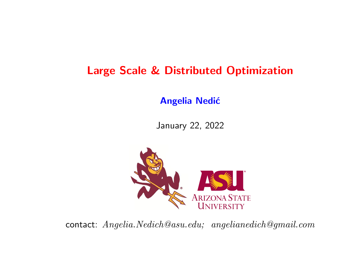# Large Scale & Distributed Optimization

#### **Angelia Nedić**

January 22, 2022



contact: Angelia.Nedich@asu.edu; angelianedich@gmail.com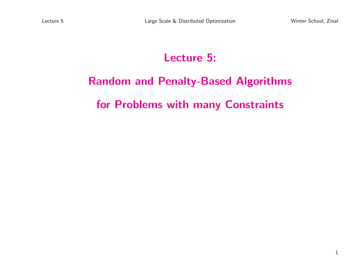# Lecture 5:

# Random and Penalty-Based Algorithms

### for Problems with many Constraints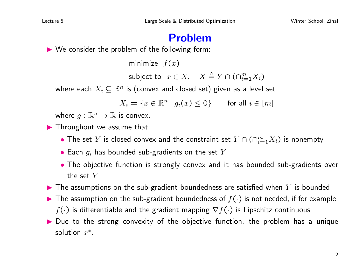#### Problem

 $\triangleright$  We consider the problem of the following form:

minimize  $f(x)$ subject to  $x \in X$ ,  $X \triangleq Y \cap (\cap_{i=1}^m X_i)$ 

where each  $X_i\subseteq \mathbb{R}^n$  is (convex and closed set) given as a level set

 $X_i = \{x \in \mathbb{R}^n \mid g_i(x) \le 0\}$  for all  $i \in [m]$ 

where  $g : \mathbb{R}^n \to \mathbb{R}$  is convex.

 $\blacktriangleright$  Throughout we assume that:

- The set  $Y$  is closed convex and the constraint set  $Y\cap (\cap_{i=1}^m X_i)$  is nonempty
- Each  $g_i$  has bounded sub-gradients on the set  $Y$
- The objective function is strongly convex and it has bounded sub-gradients over the set Y
- $\blacktriangleright$  The assumptions on the sub-gradient boundedness are satisfied when  $Y$  is bounded
- The assumption on the sub-gradient boundedness of  $f(\cdot)$  is not needed, if for example,  $f(\cdot)$  is differentiable and the gradient mapping  $\nabla f(\cdot)$  is Lipschitz continuous
- $\triangleright$  Due to the strong convexity of the objective function, the problem has a unique solution  $x^*$ .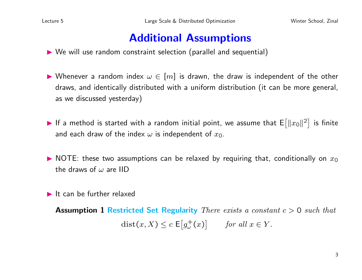### Additional Assumptions

 $\triangleright$  We will use random constraint selection (parallel and sequential)

- I Whenever a random index  $\omega \in [m]$  is drawn, the draw is independent of the other draws, and identically distributed with a uniform distribution (it can be more general, as we discussed yesterday)
- If a method is started with a random initial point, we assume that  $E[\|x_0\|^2]$  is finite and each draw of the index  $\omega$  is independent of  $x_0$ .
- $\triangleright$  NOTE: these two assumptions can be relaxed by requiring that, conditionally on  $x_0$ the draws of  $\omega$  are IID
- $\blacktriangleright$  It can be further relaxed

**Assumption 1 Restricted Set Regularity** There exists a constant  $c > 0$  such that  $dist(x, X) \leq c \mathsf{E}[g_{\omega}^+]$  $\bigcup_{\omega}^+(x)\big]$  for all  $x \in Y$ .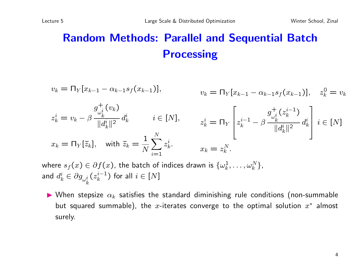# Random Methods: Parallel and Sequential Batch **Processing**

$$
v_k = \Pi_Y[x_{k-1} - \alpha_{k-1}s_f(x_{k-1})], \qquad v_k = \Pi_Y[x_{k-1} - \alpha_{k-1}s_f(x_{k-1})], \quad z_k^0 = v_k
$$
  
\n
$$
z_k^i = v_k - \beta \frac{g_{\omega_k^i}^+(v_k)}{\|d_k^i\|^2} d_k^i \qquad i \in [N], \qquad z_k^i = \Pi_Y \left[ z_k^{i-1} - \beta \frac{g_{\omega_k^i}^+(z_k^{i-1})}{\|d_k^i\|^2} d_k^i \right] i \in [N]
$$
  
\n
$$
x_k = \Pi_Y[\bar{z}_k], \quad \text{with } \bar{z}_k = \frac{1}{N} \sum_{i=1}^N z_k^i.
$$
  
\nwhere  $s_f(x) \in \partial f(x)$ , the batch of indices drawn is  $\{\omega_k^1, \dots, \omega_k^N\},$   
\nand  $d_k^i \in \partial g_{\omega_k^i}(z_k^{i-1})$  for all  $i \in [N]$ 

 $\blacktriangleright$  When stepsize  $\alpha_k$  satisfies the standard diminishing rule conditions (non-summable but squared summable), the  $x$ -iterates converge to the optimal solution  $x^*$  almost surely.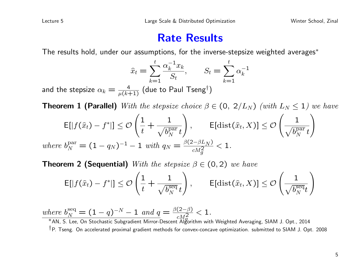#### Rate Results

The results hold, under our assumptions, for the inverse-stepsize weighted averages<sup>\*</sup>

$$
\hat{x}_t = \sum_{k=1}^t \frac{\alpha_k^{-1} x_k}{S_t}, \qquad S_t = \sum_{k=1}^t \alpha_k^{-1}
$$

and the stepsize  $\alpha_k = \frac{4}{\mu(k+1)}$  (due to Paul Tseng $^\dagger)$ 

**Theorem 1 (Parallel)** With the stepsize choice  $\beta \in (0, 2/L_N)$  (with  $L_N \le 1$ ) we have

$$
\mathsf{E}[|f(\hat{x}_t) - f^*|] \leq \mathcal{O}\left(\frac{1}{t} + \frac{1}{\sqrt{b_N^{\text{par}}}t}\right), \quad \mathsf{E}[\text{dist}(\hat{x}_t, X)] \leq \mathcal{O}\left(\frac{1}{\sqrt{b_N^{\text{par}}}t}\right)
$$
\nwhere  $b_N^{\text{par}} = (1 - q_N)^{-1} - 1$  with  $q_N = \frac{\beta(2 - \beta L_N)}{cM_g^2} < 1$ .

**Theorem 2 (Sequential)** With the stepsize  $\beta \in (0, 2)$  we have

$$
\mathsf{E}[|f(\hat{x}_t) - f^*|] \leq \mathcal{O}\left(\frac{1}{t} + \frac{1}{\sqrt{b_N^{\text{seq}}}t}\right), \qquad \mathsf{E}[\text{dist}(\hat{x}_t, X)] \leq \mathcal{O}\left(\frac{1}{\sqrt{b_N^{\text{seq}}}t}\right)
$$

where  $b_N^{\text{seq}} = (1 - q)^{-N} - 1$  and  $q = \frac{\beta(2-\beta)}{cM^2}$  $< 1$ .  $*$ AN, S. Lee, On Stochastic Subgradient Mirror-Descent Algorithm with Weighted Averaging, SIAM J. Opt., 2014 †P. Tseng. On accelerated proximal gradient methods for convex-concave optimization. submitted to SIAM J. Opt. 2008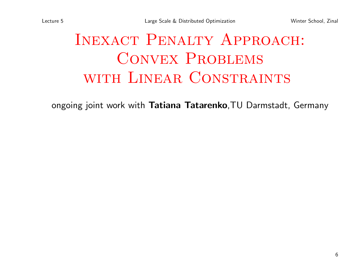# INEXACT PENALTY APPROACH: Convex Problems WITH LINEAR CONSTRAINTS

ongoing joint work with Tatiana Tatarenko,TU Darmstadt, Germany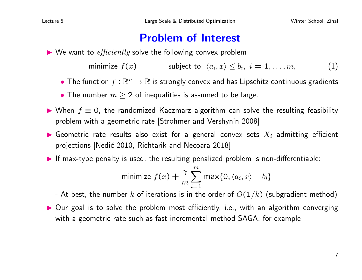#### Problem of Interest

 $\blacktriangleright$  We want to  $efficiently$  solve the following convex problem

minimize  $f(x)$  subject to  $\langle a_i, x \rangle \leq b_i, i = 1, ..., m,$  (1)

- The function  $f : \mathbb{R}^n \to \mathbb{R}$  is strongly convex and has Lipschitz continuous gradients
- The number  $m \geq 2$  of inequalities is assumed to be large.
- ▶ When  $f \equiv 0$ , the randomized Kaczmarz algorithm can solve the resulting feasibility problem with a geometric rate [Strohmer and Vershynin 2008]
- Geometric rate results also exist for a general convex sets  $X_i$  admitting efficient projections [Nedić 2010, Richtarik and Necoara 2018]
- If max-type penalty is used, the resulting penalized problem is non-differentiable:

minimize 
$$
f(x) + \frac{\gamma}{m} \sum_{i=1}^{m} \max\{0, \langle a_i, x \rangle - b_i\}
$$

- At best, the number  $k$  of iterations is in the order of  $O(1/k)$  (subgradient method)  $\triangleright$  Our goal is to solve the problem most efficiently, i.e., with an algorithm converging with a geometric rate such as fast incremental method SAGA, for example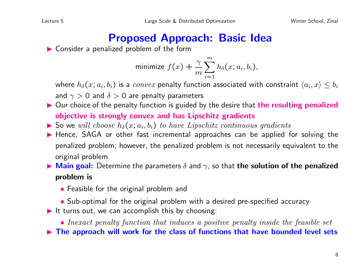# Proposed Approach: Basic Idea

 $\triangleright$  Consider a penalized problem of the form

minimize 
$$
f(x) + \frac{\gamma}{m} \sum_{i=1}^{m} h_{\delta}(x; a_i, b_i)
$$
,

where  $h_{\delta}(x; a_i, b_i)$  is a convex penalty function associated with constraint  $\langle a_i, x \rangle \leq b_i$ and  $\gamma > 0$  and  $\delta > 0$  are penalty parameters

- ▶ Our choice of the penalty function is guided by the desire that the resulting penalized objective is strongly convex and has Lipschitz gradients
- $\triangleright$  So we will choose  $h_{\delta}(x; a_i, b_i)$  to have Lipschitz continuous gradients
- ▶ Hence, SAGA or other fast incremental approaches can be applied for solving the penalized problem; however, the penalized problem is not necessarily equivalent to the original problem
- $\blacktriangleright$  Main goal: Determine the parameters  $\delta$  and  $\gamma$ , so that the solution of the penalized problem is
	- Feasible for the original problem and
	- Sub-optimal for the original problem with a desired pre-specified accuracy
- It turns out, we can accomplish this by choosing:
	- Inexact penalty function that induces a positive penalty inside the feasible set
- $\triangleright$  The approach will work for the class of functions that have bounded level sets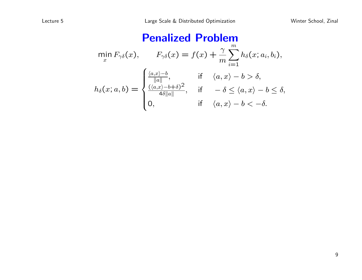#### Penalized Problem min  $\displaystyle \lim_{x} F_{\gamma\delta}(x), \qquad F_{\gamma\delta}(x) = f(x) + \frac{\gamma}{m}$  $\overline{m}$  $\sum$ m  $i=1$  $h_\delta(x;a_i,b_i),$  $h_{\delta}(x; a, b) =$  $\sqrt{ }$  $\int$  $\overline{\mathcal{L}}$  $\langle a,x\rangle-b$  $\frac{\partial f(x)}{\partial |a|}$ , if  $\langle a,x\rangle - b > \delta$ ,  $\left(\langle a,x\rangle\right]-b+\delta)^2$  $\frac{a}{4\delta\|a\|}^{(\frac{b}{a})-\delta+\delta}$ , if  $-\delta\leq\langle a,x\rangle-b\leq\delta,$ 0, if  $\langle a, x \rangle - b < -\delta$ .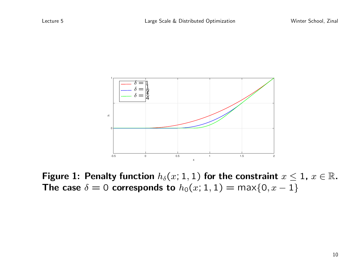

Figure 1: Penalty function  $h_{\delta}(x; 1, 1)$  for the constraint  $x \leq 1$ ,  $x \in \mathbb{R}$ . The case  $\delta = 0$  corresponds to  $h_0(x; 1, 1) = \max\{0, x - 1\}$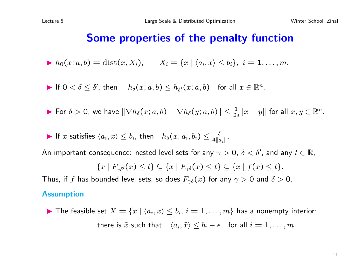#### Some properties of the penalty function

 $h_0(x; a, b) = \text{dist}(x, X_i), \qquad X_i = \{x \mid \langle a_i, x \rangle \leq b_i\}, \quad i = 1, \ldots, m.$ 

If  $0 < \delta \leq \delta'$ , then  $h_{\delta}(x; a, b) \leq h_{\delta'}(x; a, b)$  for all  $x \in \mathbb{R}^n$ .

- ► For  $\delta > 0$ , we have  $\|\nabla h_{\delta}(x; a, b) \nabla h_{\delta}(y; a, b)\| \leq \frac{1}{2\delta} \|x y\|$  for all  $x, y \in \mathbb{R}^n$ .
- If x satisfies  $\langle a_i, x \rangle \leq b_i$ , then  $h_\delta(x; a_i, b_i) \leq \frac{\delta}{4||a_i||}$ .

An important consequence: nested level sets for any  $\gamma>0$ ,  $\delta<\delta'$ , and any  $t\in\mathbb{R}$ ,

$$
\{x \mid F_{\gamma\delta'}(x) \leq t\} \subseteq \{x \mid F_{\gamma\delta}(x) \leq t\} \subseteq \{x \mid f(x) \leq t\}.
$$

Thus, if f has bounded level sets, so does  $F_{\gamma\delta}(x)$  for any  $\gamma>0$  and  $\delta>0$ .

#### **Assumption**

The feasible set  $X = \{x \mid \langle a_i, x \rangle \leq b_i, i = 1, \ldots, m\}$  has a nonempty interior:

there is  $\hat{x}$  such that:  $\langle a_i, \hat{x} \rangle \leq b_i - \epsilon$  for all  $i = 1, \ldots, m$ .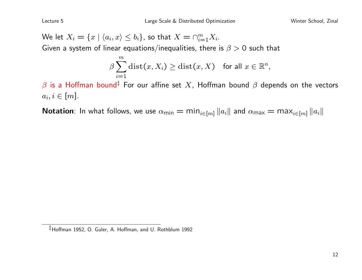We let  $X_i = \{x \mid \langle a_i, x \rangle \leq b_i\}$ , so that  $X = \cap_{i=1}^m X_i$ . Given a system of linear equations/inequalities, there is  $\beta > 0$  such that

$$
\beta \sum_{i=1}^m \text{dist}(x, X_i) \ge \text{dist}(x, X) \quad \text{for all } x \in \mathbb{R}^n,
$$

 $\beta$  is a Hoffman bound<sup>‡</sup> For our affine set X, Hoffman bound  $\beta$  depends on the vectors  $a_i, i \in [m]$ .

**Notation**: In what follows, we use  $\alpha_{\min} = \min_{i \in [m]} ||a_i||$  and  $\alpha_{\max} = \max_{i \in [m]} ||a_i||$ 

<sup>‡</sup>Hoffman 1952, O. Guler, A. Hoffman, and U. Rothblum 1992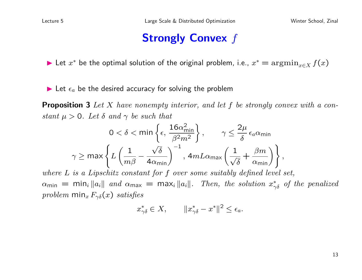# **Strongly Convex f**

► Let  $x^*$  be the optimal solution of the original problem, i.e.,  $x^* = \operatorname{argmin}_{x \in X} f(x)$ 

 $\blacktriangleright$  Let  $\epsilon_a$  be the desired accuracy for solving the problem

Proposition 3 Let X have nonempty interior, and let f be strongly convex with a constant  $\mu > 0$ . Let  $\delta$  and  $\gamma$  be such that

$$
0 < \delta < \min\left\{\epsilon, \frac{16\alpha_{\min}^2}{\beta^2 m^2}\right\}, \qquad \gamma \le \frac{2\mu}{\delta} \epsilon_a \alpha_{\min}
$$

$$
\gamma \ge \max\left\{L\left(\frac{1}{m\beta} - \frac{\sqrt{\delta}}{4\alpha_{\min}}\right)^{-1}, 4mL\alpha_{\max}\left(\frac{1}{\sqrt{\delta}} + \frac{\beta m}{\alpha_{\min}}\right)\right\},\right\}
$$

where L is a Lipschitz constant for f over some suitably defined level set,  $\alpha_{\sf min} \, = \, {\sf min}_i \, \|a_i\|$  and  $\alpha_{\sf max} \, = \, {\sf max}_i \, \|a_i\|. \; \; \textit{Then, the solution} \; \, x^*_{\gamma \delta} \; \, \textit{of the penalized}$ problem  $\min_x F_{\gamma\delta}(x)$  satisfies

$$
x_{\gamma\delta}^* \in X, \qquad \|x_{\gamma\delta}^* - x^*\|^2 \le \epsilon_a.
$$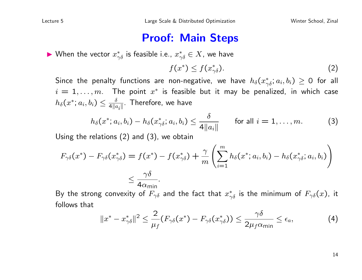#### Proof: Main Steps

▶ When the vector  $x^*_{\gamma\delta}$  is feasible i.e.,  $x^*_{\gamma\delta} \in X$ , we have

$$
f(x^*) \le f(x_{\gamma\delta}^*). \tag{2}
$$

Since the penalty functions are non-negative, we have  $h_\delta(x_{\gamma\delta}^*;a_i,b_i)\,\geq\,0$  for all  $i=1,\ldots,m.$  The point  $x^*$  is feasible but it may be penalized, in which case  $h_\delta(x^*; a_i, b_i) \leq \frac{\delta}{4\|a\|}$  $\frac{\delta}{4\|a_i\|}$ . Therefore, we have

$$
h_{\delta}(x^*; a_i, b_i) - h_{\delta}(x_{\gamma\delta}^*; a_i, b_i) \leq \frac{\delta}{4\|a_i\|} \quad \text{for all } i = 1, \ldots, m.
$$
 (3)

Using the relations (2) and (3), we obtain

$$
F_{\gamma\delta}(x^*) - F_{\gamma\delta}(x^*_{\gamma\delta}) = f(x^*) - f(x^*_{\gamma\delta}) + \frac{\gamma}{m} \left( \sum_{i=1}^m h_\delta(x^*; a_i, b_i) - h_\delta(x^*_{\gamma\delta}; a_i, b_i) \right)
$$
  

$$
\leq \frac{\gamma\delta}{4\alpha_{\min}}.
$$

By the strong convexity of  $F_{\gamma\delta}$  and the fact that  $x^*_{\gamma\delta}$  is the minimum of  $F_{\gamma\delta}(x)$ , it follows that

$$
||x^* - x^*_{\gamma\delta}||^2 \le \frac{2}{\mu_f} (F_{\gamma\delta}(x^*) - F_{\gamma\delta}(x^*_{\gamma\delta})) \le \frac{\gamma\delta}{2\mu_f\alpha_{\min}} \le \epsilon_a,
$$
 (4)

14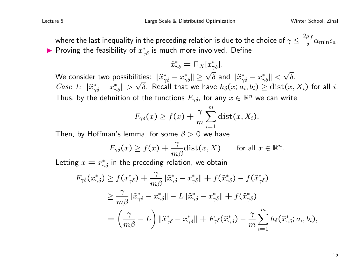where the last inequality in the preceding relation is due to the choice of  $\gamma \leq$  $2\mu_f$  $\frac{\mu_f}{\delta} \alpha$ min $\epsilon_a$ . ▶ Proving the feasibility of  $x^*_{\gamma\delta}$  is much more involved. Define

$$
\hat{x}_{\gamma\delta}^* = \Pi_X[x_{\gamma\delta}^*].
$$

We consider two possibilities:  $\|\widehat{x}_{\gamma\delta}^*-x_{\gamma}^*\|$  $\begin{array}{c} \left\Vert \tilde{x}^*_{\gamma\delta} \right\Vert \geq \sqrt{\delta} \text{ and } \left\Vert \widehat{x}^*_{\gamma\delta} - x^*_{\gamma\delta} \right\Vert < \end{array}$ √  $\delta.$ Case 1:  $\|\hat{x}_{\gamma\delta}^* - x_{\gamma\delta}^*\|$ ∣∣l<br>∕ δ. Recall that we have  $h_\delta(x;a_i,b_i) \geq \mathop\mathrm{dist}(x,X_i)$  for all  $i.$ Thus, by the definition of the functions  $F_{\gamma\delta}$ , for any  $x\in\mathbb{R}^n$  we can write

$$
F_{\gamma\delta}(x) \ge f(x) + \frac{\gamma}{m} \sum_{i=1}^m \text{dist}(x, X_i).
$$

Then, by Hoffman's lemma, for some  $\beta > 0$  we have

$$
F_{\gamma\delta}(x) \ge f(x) + \frac{\gamma}{m\beta} \text{dist}(x, X) \qquad \text{for all } x \in \mathbb{R}^n.
$$

Letting  $x=x_{\gamma\delta}^*$  in the preceding relation, we obtain

$$
F_{\gamma\delta}(x_{\gamma\delta}^*) \ge f(x_{\gamma\delta}^*) + \frac{\gamma}{m\beta} \|\hat{x}_{\gamma\delta}^* - x_{\gamma\delta}^*\| + f(\hat{x}_{\gamma\delta}^*) - f(\hat{x}_{\gamma\delta}^*)
$$
  
\n
$$
\ge \frac{\gamma}{m\beta} \|\hat{x}_{\gamma\delta}^* - x_{\gamma\delta}^*\| - L\|\hat{x}_{\gamma\delta}^* - x_{\gamma\delta}^*\| + f(\hat{x}_{\gamma\delta}^*)
$$
  
\n
$$
= \left(\frac{\gamma}{m\beta} - L\right) \|\hat{x}_{\gamma\delta}^* - x_{\gamma\delta}^*\| + F_{\gamma\delta}(\hat{x}_{\gamma\delta}^*) - \frac{\gamma}{m} \sum_{i=1}^m h_{\delta}(\hat{x}_{\gamma\delta}^*; a_i, b_i),
$$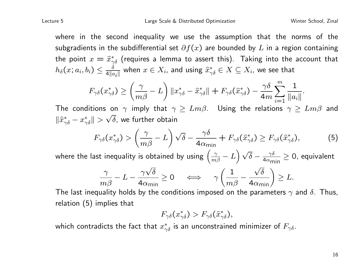where in the second inequality we use the assumption that the norms of the subgradients in the subdifferential set  $\partial f(x)$  are bounded by  $L$  in a region containing the point  $x=\widehat{x}_{\gamma\delta}^*$  (requires a lemma to assert this). Taking into the account that  $h_\delta(x;a_i,b_i)\leq \frac{\delta}{4\|a_i\|}$  when  $x\in X_i$ , and using  $\widehat{x}_{\gamma\delta}^*\in X\subseteq X_i$ , we see that

$$
F_{\gamma\delta}(x_{\gamma\delta}^*)\geq \left(\frac{\gamma}{m\beta}-L\right)\|x_{\gamma\delta}^*-\widehat{x}_{\gamma\delta}^*\|+F_{\gamma\delta}(\widehat{x}_{\gamma\delta}^*)-\frac{\gamma\delta}{4m}\sum_{i=1}^m\frac{1}{\|a_i\|}.
$$

The conditions on  $\gamma$  imply that  $\gamma \geq Lm\beta$ . Using the relations  $\gamma \geq Lm\beta$  and  $\|\widehat{x}_{\gamma\delta}^*-x_{\gamma\delta}^*\|> \sqrt{\delta}$ , we further obtain √

$$
F_{\gamma\delta}(x_{\gamma\delta}^*) > \left(\frac{\gamma}{m\beta} - L\right)\sqrt{\delta} - \frac{\gamma\delta}{4\alpha_{\min}} + F_{\gamma\delta}(\hat{x}_{\gamma\delta}^*) \ge F_{\gamma\delta}(\hat{x}_{\gamma\delta}^*),\tag{5}
$$

where the last inequality is obtained by using  $\left(\frac{\gamma}{m\beta}-L\right)$  $\sqrt{\delta} - \frac{\gamma \delta}{4\alpha}$  $4\alpha$ min  $\geq$  0, equivalent √ √

$$
\frac{\gamma}{m\beta} - L - \frac{\gamma\sqrt{\delta}}{4\alpha_{\min}} \ge 0 \quad \iff \quad \gamma\left(\frac{1}{m\beta} - \frac{\sqrt{\delta}}{4\alpha_{\min}}\right) \ge L.
$$

The last inequality holds by the conditions imposed on the parameters  $\gamma$  and  $\delta$ . Thus, relation (5) implies that

$$
F_{\gamma\delta}(x_{\gamma\delta}^*) > F_{\gamma\delta}(\hat{x}_{\gamma\delta}^*),
$$

which contradicts the fact that  $x_{\gamma\delta}^*$  is an unconstrained minimizer of  $F_{\gamma\delta}.$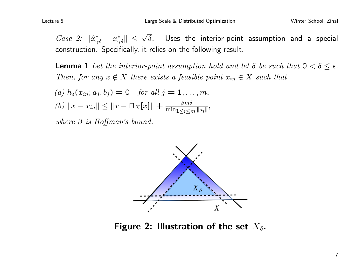Case 2:  $\|\hat{x}_{\gamma\delta}^* - x_{\gamma}^*\|$  $\frac{1}{\gamma\delta}\|\ \leq\ \sqrt{\delta}.$  Uses the interior-point assumption and a special construction. Specifically, it relies on the following result.

**Lemma 1** Let the interior-point assumption hold and let  $\delta$  be such that  $0 < \delta \leq \epsilon$ . Then, for any  $x \notin X$  there exists a feasible point  $x_{in} \in X$  such that

(a) 
$$
h_{\delta}(x_{in}; a_j, b_j) = 0
$$
 for all  $j = 1, ..., m$ ,  
(b)  $||x - x_{in}|| \le ||x - \Pi_X[x]|| + \frac{\beta m \delta}{\min_{1 \le i \le m} ||a_i||}$ ,

where  $\beta$  is Hoffman's bound.



Figure 2: Illustration of the set  $X_{\delta}$ .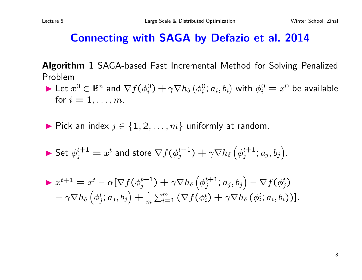# Connecting with SAGA by Defazio et al. 2014

Algorithm 1 SAGA-based Fast Incremental Method for Solving Penalized Problem

- $\blacktriangleright$  Let  $x^0 \in \mathbb{R}^n$  and  $\nabla f(\phi_i^0)$  $\epsilon_i^0$ ) +  $\gamma \nabla h_\delta \left( \phi_i^0 \right)$  $_i^0$ ;  $a_i, b_i)$  with  $\phi_i^0 = x^0$  be available for  $i = 1, \ldots, m$ .
- ▶ Pick an index  $j \in \{1, 2, ..., m\}$  uniformly at random.

• Set 
$$
\phi_j^{t+1} = x^t
$$
 and store  $\nabla f(\phi_j^{t+1}) + \gamma \nabla h_\delta \left(\phi_j^{t+1}; a_j, b_j\right)$ .

$$
\triangleright x^{t+1} = x^t - \alpha [\nabla f(\phi_j^{t+1}) + \gamma \nabla h_\delta \left(\phi_j^{t+1}; a_j, b_j\right) - \nabla f(\phi_j^t) - \gamma \nabla h_\delta \left(\phi_j^t; a_j, b_j\right) + \frac{1}{m} \sum_{i=1}^m \left(\nabla f(\phi_i^t) + \gamma \nabla h_\delta \left(\phi_i^t; a_i, b_i\right)\right).
$$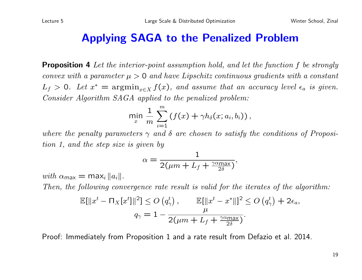### Applying SAGA to the Penalized Problem

**Proposition 4** Let the interior-point assumption hold, and let the function f be strongly convex with a parameter  $\mu > 0$  and have Lipschitz continuous gradients with a constant  $L_f > 0$ . Let  $x^* = \operatorname{argmin}_{x \in X} f(x)$ , and assume that an accuracy level  $\epsilon_a$  is given. Consider Algorithm SAGA applied to the penalized problem:

$$
\min_x \frac{1}{m} \sum_{i=1}^m \left(f(x) + \gamma h_\delta(x; a_i, b_i)\right),
$$

where the penalty parameters  $\gamma$  and  $\delta$  are chosen to satisfy the conditions of Proposition 1, and the step size is given by

$$
\alpha = \frac{1}{2(\mu m + L_f + \frac{\gamma \alpha_{\text{max}}}{2\delta})},
$$

with  $\alpha_{\text{max}} = \max_i \|a_i\|.$ 

Then, the following convergence rate result is valid for the iterates of the algorithm:

$$
\mathbb{E}[\|x^t - \Pi_X[x^t]\|^2] \le O(q^t_\gamma), \qquad \mathbb{E}[\|x^t - x^*\|^2] \le O(q^t_\gamma) + 2\epsilon_a,
$$
  

$$
q_\gamma = 1 - \frac{\mu}{2(\mu m + L_f + \frac{\gamma \alpha_{\text{max}}}{2\delta})}.
$$

Proof: Immediately from Proposition 1 and a rate result from Defazio et al. 2014.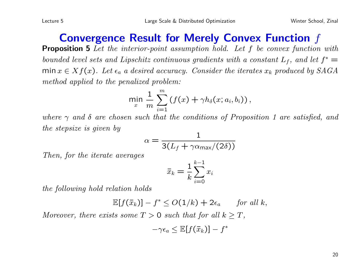#### **Convergence Result for Merely Convex Function** f

**Proposition 5** Let the interior-point assumption hold. Let  $f$  be convex function with bounded level sets and Lipschitz continuous gradients with a constant  $L_f$ , and let  $f^* =$ min  $x \in Xf(x)$ . Let  $\epsilon_a$  a desired accuracy. Consider the iterates  $x_k$  produced by SAGA method applied to the penalized problem:

$$
\min_x \frac{1}{m} \sum_{i=1}^m (f(x) + \gamma h_\delta(x; a_i, b_i)),
$$

where  $\gamma$  and  $\delta$  are chosen such that the conditions of Proposition 1 are satisfied, and the stepsize is given by

$$
\alpha = \frac{1}{3(L_f + \gamma \alpha_{\max}/(2\delta))}
$$

Then, for the iterate averages

$$
\bar{x}_k = \frac{1}{k} \sum_{i=0}^{k-1} x_i
$$

the following hold relation holds

$$
\mathbb{E}[f(\bar{x}_k)] - f^* \le O(1/k) + 2\epsilon_a \quad \text{for all } k,
$$

Moreover, there exists some  $T > 0$  such that for all  $k > T$ ,

$$
-\gamma \epsilon_a \leq \mathbb{E}[f(\bar{x}_k)] - f^*
$$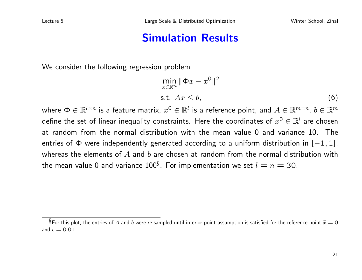#### Simulation Results

We consider the following regression problem

$$
\min_{x \in \mathbb{R}^n} \|\Phi x - x^0\|^2
$$
  
s.t.  $Ax \le b$ , (6)

where  $\Phi \in \mathbb{R}^{l \times n}$  is a feature matrix,  $x^0 \in \mathbb{R}^l$  is a reference point, and  $A \in \mathbb{R}^{m \times n}$ ,  $b \in \mathbb{R}^m$ define the set of linear inequality constraints. Here the coordinates of  $x^0 \in \mathbb{R}^l$  are chosen at random from the normal distribution with the mean value 0 and variance 10. The entries of  $\Phi$  were independently generated according to a uniform distribution in  $[-1, 1]$ , whereas the elements of A and b are chosen at random from the normal distribution with the mean value 0 and variance  $100^{\S}.$  For implementation we set  $l=n=30.$ 

<sup>§</sup>For this plot, the entries of A and b were re-sampled until interior-point assumption is satisfied for the reference point  $\bar{x}=0$ and  $\epsilon = 0.01$ .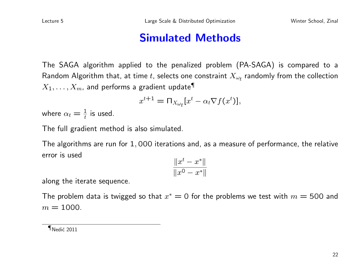#### Simulated Methods

The SAGA algorithm applied to the penalized problem (PA-SAGA) is compared to a Random Algorithm that, at time  $t$ , selects one constraint  $X_{\omega_t}$  randomly from the collection  $X_1, \ldots, X_m$ , and performs a gradient update $\P$ 

$$
x^{t+1} = \Pi_{X\omega_t}[x^t - \alpha_t \nabla f(x^t)],
$$

where  $\alpha_t = \frac{1}{t}$  is used.

The full gradient method is also simulated.

The algorithms are run for 1, 000 iterations and, as a measure of performance, the relative error is used

$$
\frac{\|x^t - x^*\|}{\|x^0 - x^*\|}
$$

along the iterate sequence.

The problem data is twigged so that  $x^* = 0$  for the problems we test with  $m = 500$  and  $m = 1000$ .

 $\P$ Nedić 2011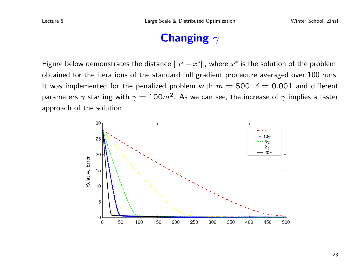### **Changing**  $\gamma$

Figure below demonstrates the distance  $||x^t - x^*||$ , where  $x^*$  is the solution of the problem, obtained for the iterations of the standard full gradient procedure averaged over 100 runs. It was implemented for the penalized problem with  $m = 500$ ,  $\delta = 0.001$  and different parameters  $\gamma$  starting with  $\gamma=100m^2$ . As we can see, the increase of  $\gamma$  implies a faster approach of the solution.

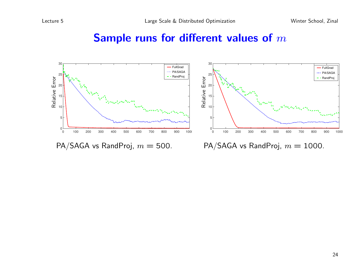# Sample runs for different values of  $m$

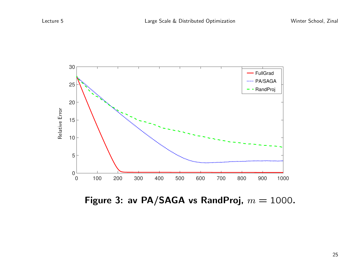

Figure 3: av PA/SAGA vs RandProj,  $m = 1000$ .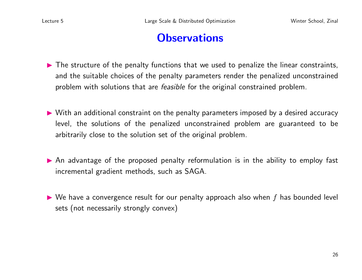### **Observations**

- $\blacktriangleright$  The structure of the penalty functions that we used to penalize the linear constraints, and the suitable choices of the penalty parameters render the penalized unconstrained problem with solutions that are *feasible* for the original constrained problem.
- $\triangleright$  With an additional constraint on the penalty parameters imposed by a desired accuracy level, the solutions of the penalized unconstrained problem are guaranteed to be arbitrarily close to the solution set of the original problem.
- $\triangleright$  An advantage of the proposed penalty reformulation is in the ability to employ fast incremental gradient methods, such as SAGA.
- $\blacktriangleright$  We have a convergence result for our penalty approach also when f has bounded level sets (not necessarily strongly convex)